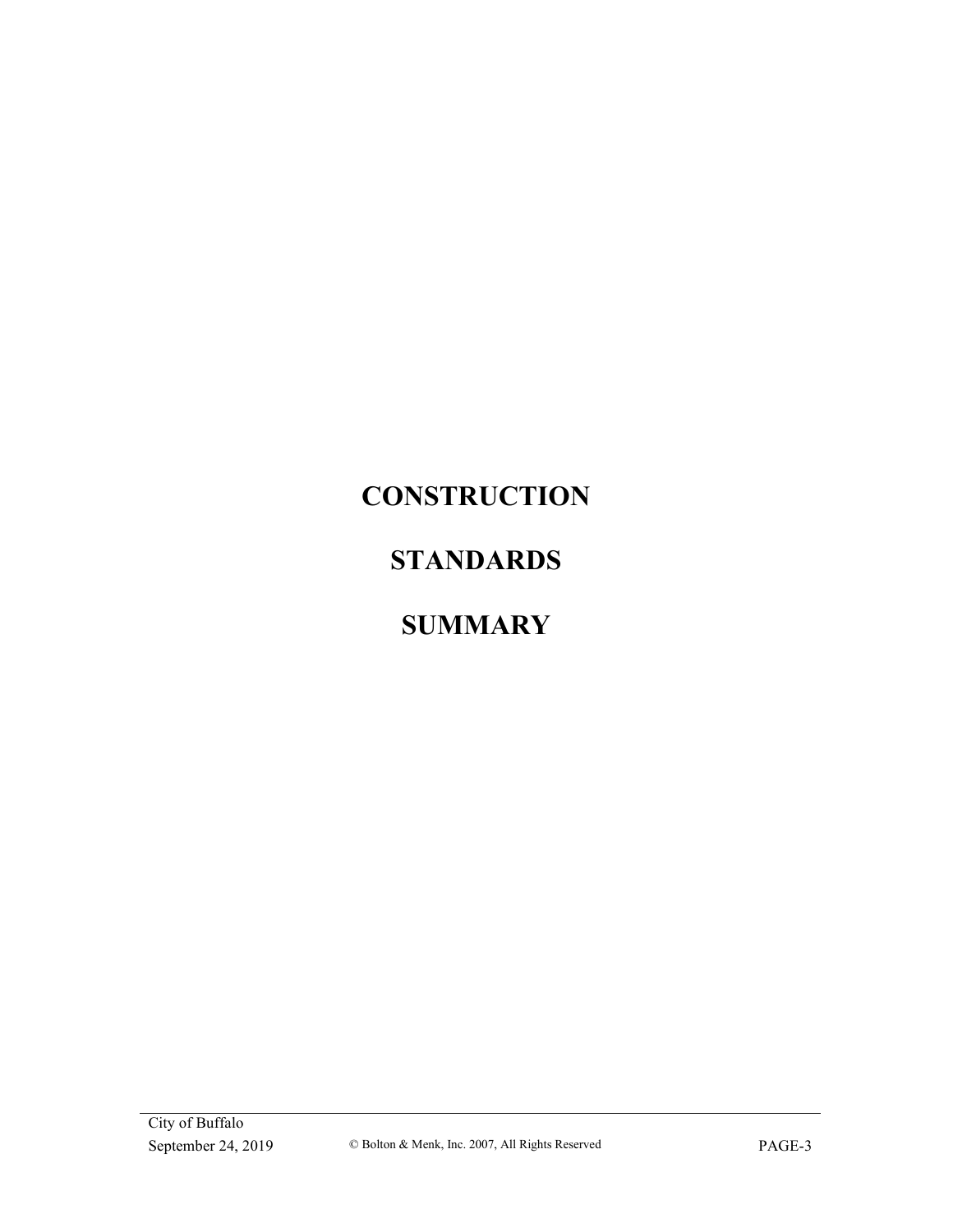# **CONSTRUCTION**

# **STANDARDS**

# **SUMMARY**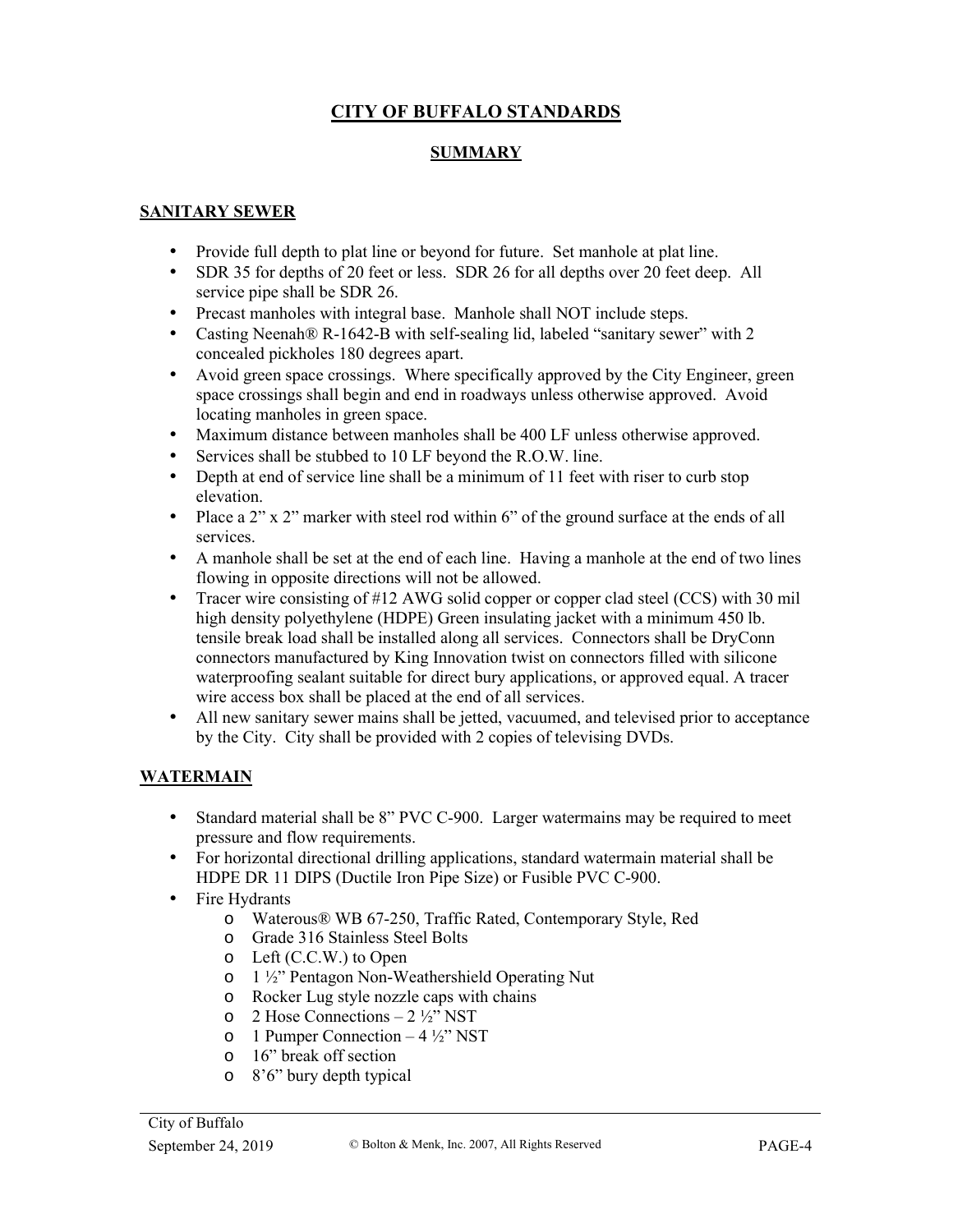## **CITY OF BUFFALO STANDARDS**

#### **SUMMARY**

#### **SANITARY SEWER**

- Provide full depth to plat line or beyond for future. Set manhole at plat line.
- SDR 35 for depths of 20 feet or less. SDR 26 for all depths over 20 feet deep. All service pipe shall be SDR 26.
- Precast manholes with integral base. Manhole shall NOT include steps.
- Casting Neenah® R-1642-B with self-sealing lid, labeled "sanitary sewer" with 2 concealed pickholes 180 degrees apart.
- Avoid green space crossings. Where specifically approved by the City Engineer, green space crossings shall begin and end in roadways unless otherwise approved. Avoid locating manholes in green space.
- Maximum distance between manholes shall be 400 LF unless otherwise approved.
- Services shall be stubbed to 10 LF beyond the R.O.W. line.
- Depth at end of service line shall be a minimum of 11 feet with riser to curb stop elevation.
- Place a 2" x 2" marker with steel rod within 6" of the ground surface at the ends of all services.
- A manhole shall be set at the end of each line. Having a manhole at the end of two lines flowing in opposite directions will not be allowed.
- Tracer wire consisting of #12 AWG solid copper or copper clad steel (CCS) with 30 mil high density polyethylene (HDPE) Green insulating jacket with a minimum 450 lb. tensile break load shall be installed along all services. Connectors shall be DryConn connectors manufactured by King Innovation twist on connectors filled with silicone waterproofing sealant suitable for direct bury applications, or approved equal. A tracer wire access box shall be placed at the end of all services.
- All new sanitary sewer mains shall be jetted, vacuumed, and televised prior to acceptance by the City. City shall be provided with 2 copies of televising DVDs.

#### **WATERMAIN**

- Standard material shall be 8" PVC C-900. Larger watermains may be required to meet pressure and flow requirements.
- For horizontal directional drilling applications, standard watermain material shall be HDPE DR 11 DIPS (Ductile Iron Pipe Size) or Fusible PVC C-900.
- Fire Hydrants
	- o Waterous® WB 67-250, Traffic Rated, Contemporary Style, Red
	- o Grade 316 Stainless Steel Bolts
	- o Left (C.C.W.) to Open
	- o 1 ½" Pentagon Non-Weathershield Operating Nut
	- o Rocker Lug style nozzle caps with chains
	- $\circ$  2 Hose Connections 2 ½" NST
	- o 1 Pumper Connection  $-4\frac{1}{2}$ " NST
	- o 16" break off section
	- o 8'6" bury depth typical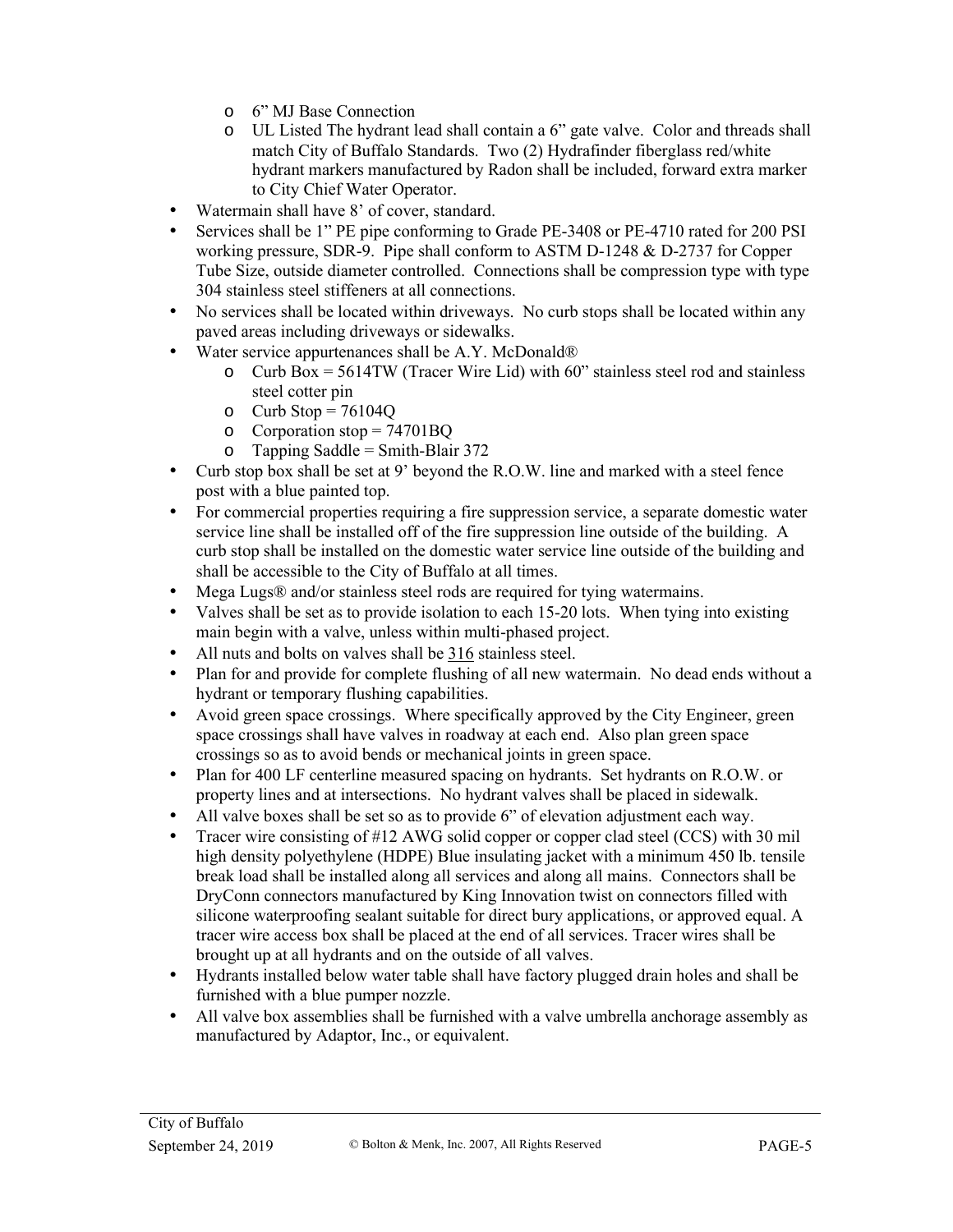- o 6" MJ Base Connection
- o UL Listed The hydrant lead shall contain a 6" gate valve. Color and threads shall match City of Buffalo Standards. Two (2) Hydrafinder fiberglass red/white hydrant markers manufactured by Radon shall be included, forward extra marker to City Chief Water Operator.
- Watermain shall have 8' of cover, standard.
- Services shall be 1" PE pipe conforming to Grade PE-3408 or PE-4710 rated for 200 PSI working pressure, SDR-9. Pipe shall conform to ASTM D-1248 & D-2737 for Copper Tube Size, outside diameter controlled. Connections shall be compression type with type 304 stainless steel stiffeners at all connections.
- No services shall be located within driveways. No curb stops shall be located within any paved areas including driveways or sidewalks.
- Water service appurtenances shall be A.Y. McDonald®
	- o Curb Box =  $5614TW$  (Tracer Wire Lid) with 60" stainless steel rod and stainless steel cotter pin
	- o Curb Stop =  $76104Q$
	- o Corporation stop = 74701BQ
	- $\circ$  Tapping Saddle = Smith-Blair 372
- Curb stop box shall be set at 9' beyond the R.O.W. line and marked with a steel fence post with a blue painted top.
- For commercial properties requiring a fire suppression service, a separate domestic water service line shall be installed off of the fire suppression line outside of the building. A curb stop shall be installed on the domestic water service line outside of the building and shall be accessible to the City of Buffalo at all times.
- Mega Lugs® and/or stainless steel rods are required for tying watermains.
- Valves shall be set as to provide isolation to each 15-20 lots. When tying into existing main begin with a valve, unless within multi-phased project.
- All nuts and bolts on valves shall be 316 stainless steel.
- Plan for and provide for complete flushing of all new watermain. No dead ends without a hydrant or temporary flushing capabilities.
- Avoid green space crossings. Where specifically approved by the City Engineer, green space crossings shall have valves in roadway at each end. Also plan green space crossings so as to avoid bends or mechanical joints in green space.
- Plan for 400 LF centerline measured spacing on hydrants. Set hydrants on R.O.W. or property lines and at intersections. No hydrant valves shall be placed in sidewalk.
- All valve boxes shall be set so as to provide 6" of elevation adjustment each way.
- Tracer wire consisting of #12 AWG solid copper or copper clad steel (CCS) with 30 mil high density polyethylene (HDPE) Blue insulating jacket with a minimum 450 lb. tensile break load shall be installed along all services and along all mains. Connectors shall be DryConn connectors manufactured by King Innovation twist on connectors filled with silicone waterproofing sealant suitable for direct bury applications, or approved equal. A tracer wire access box shall be placed at the end of all services. Tracer wires shall be brought up at all hydrants and on the outside of all valves.
- Hydrants installed below water table shall have factory plugged drain holes and shall be furnished with a blue pumper nozzle.
- All valve box assemblies shall be furnished with a valve umbrella anchorage assembly as manufactured by Adaptor, Inc., or equivalent.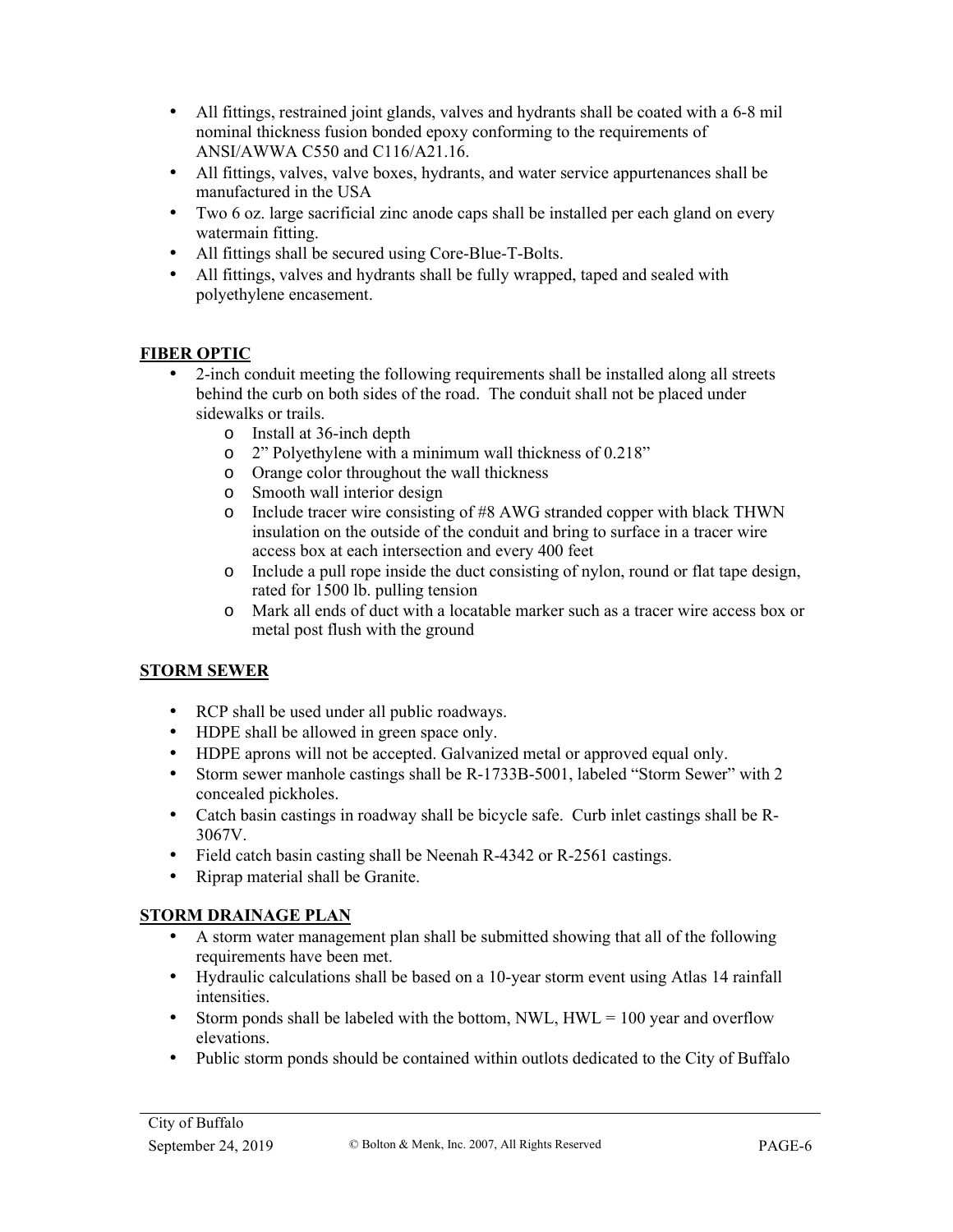- All fittings, restrained joint glands, valves and hydrants shall be coated with a 6-8 mil nominal thickness fusion bonded epoxy conforming to the requirements of ANSI/AWWA C550 and C116/A21.16.
- All fittings, valves, valve boxes, hydrants, and water service appurtenances shall be manufactured in the USA
- Two 6 oz. large sacrificial zinc anode caps shall be installed per each gland on every watermain fitting.
- All fittings shall be secured using Core-Blue-T-Bolts.
- All fittings, valves and hydrants shall be fully wrapped, taped and sealed with polyethylene encasement.

## **FIBER OPTIC**

- 2-inch conduit meeting the following requirements shall be installed along all streets behind the curb on both sides of the road. The conduit shall not be placed under sidewalks or trails.
	- o Install at 36-inch depth
	- o 2" Polyethylene with a minimum wall thickness of 0.218"
	- o Orange color throughout the wall thickness
	- o Smooth wall interior design
	- o Include tracer wire consisting of #8 AWG stranded copper with black THWN insulation on the outside of the conduit and bring to surface in a tracer wire access box at each intersection and every 400 feet
	- o Include a pull rope inside the duct consisting of nylon, round or flat tape design, rated for 1500 lb. pulling tension
	- o Mark all ends of duct with a locatable marker such as a tracer wire access box or metal post flush with the ground

## **STORM SEWER**

- RCP shall be used under all public roadways.
- HDPE shall be allowed in green space only.
- HDPE aprons will not be accepted. Galvanized metal or approved equal only.
- Storm sewer manhole castings shall be R-1733B-5001, labeled "Storm Sewer" with 2 concealed pickholes.
- Catch basin castings in roadway shall be bicycle safe. Curb inlet castings shall be R-3067V.
- Field catch basin casting shall be Neenah R-4342 or R-2561 castings.
- Riprap material shall be Granite.

## **STORM DRAINAGE PLAN**

- A storm water management plan shall be submitted showing that all of the following requirements have been met.
- Hydraulic calculations shall be based on a 10-year storm event using Atlas 14 rainfall intensities.
- Storm ponds shall be labeled with the bottom, NWL,  $HWL = 100$  year and overflow elevations.
- Public storm ponds should be contained within outlots dedicated to the City of Buffalo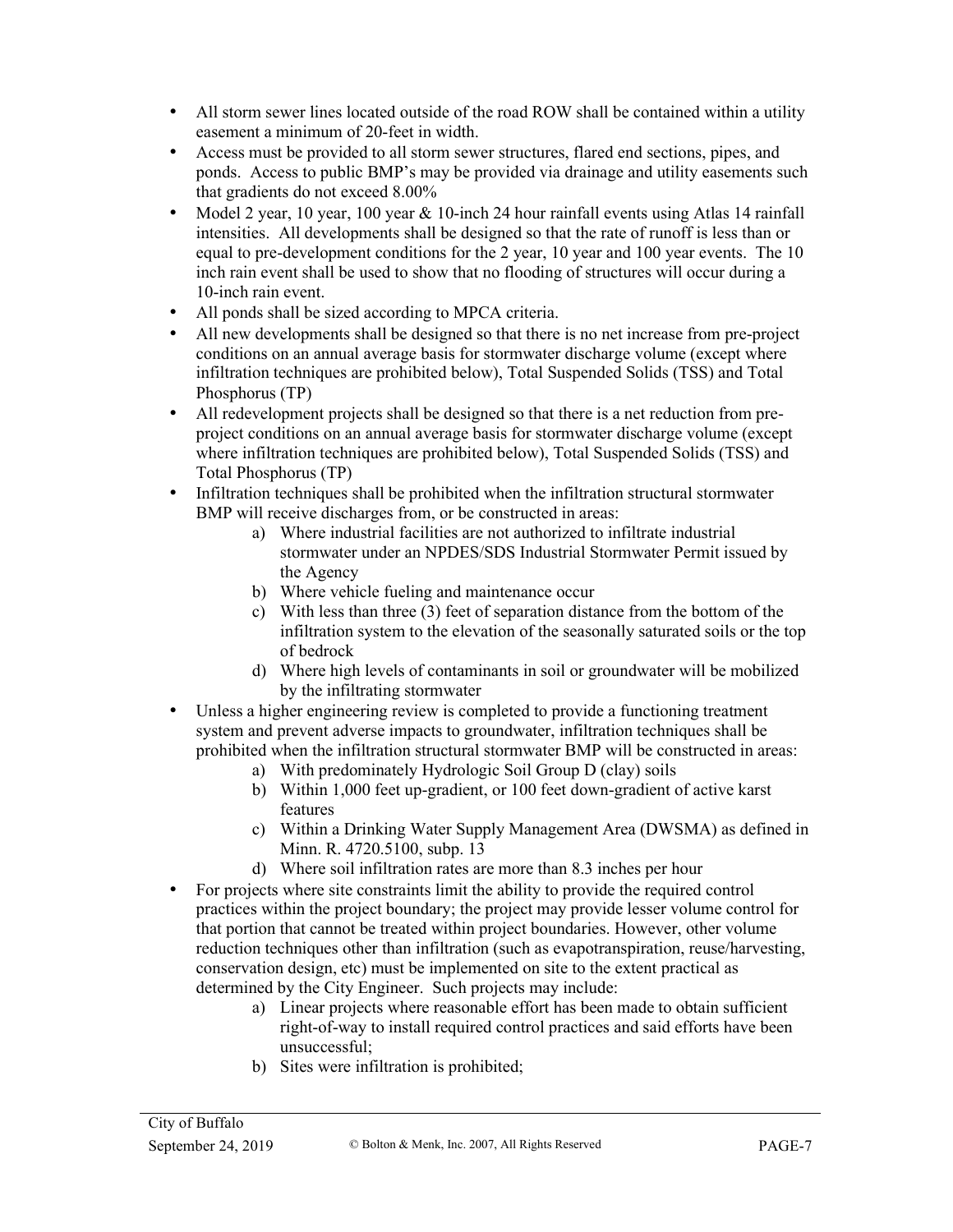- All storm sewer lines located outside of the road ROW shall be contained within a utility easement a minimum of 20-feet in width.
- Access must be provided to all storm sewer structures, flared end sections, pipes, and ponds. Access to public BMP's may be provided via drainage and utility easements such that gradients do not exceed 8.00%
- Model 2 year, 10 year, 100 year & 10-inch 24 hour rainfall events using Atlas 14 rainfall intensities. All developments shall be designed so that the rate of runoff is less than or equal to pre-development conditions for the 2 year, 10 year and 100 year events. The 10 inch rain event shall be used to show that no flooding of structures will occur during a 10-inch rain event.
- All ponds shall be sized according to MPCA criteria.
- All new developments shall be designed so that there is no net increase from pre-project conditions on an annual average basis for stormwater discharge volume (except where infiltration techniques are prohibited below), Total Suspended Solids (TSS) and Total Phosphorus (TP)
- All redevelopment projects shall be designed so that there is a net reduction from preproject conditions on an annual average basis for stormwater discharge volume (except where infiltration techniques are prohibited below), Total Suspended Solids (TSS) and Total Phosphorus (TP)
- Infiltration techniques shall be prohibited when the infiltration structural stormwater BMP will receive discharges from, or be constructed in areas:
	- a) Where industrial facilities are not authorized to infiltrate industrial stormwater under an NPDES/SDS Industrial Stormwater Permit issued by the Agency
	- b) Where vehicle fueling and maintenance occur
	- c) With less than three (3) feet of separation distance from the bottom of the infiltration system to the elevation of the seasonally saturated soils or the top of bedrock
	- d) Where high levels of contaminants in soil or groundwater will be mobilized by the infiltrating stormwater
- Unless a higher engineering review is completed to provide a functioning treatment system and prevent adverse impacts to groundwater, infiltration techniques shall be prohibited when the infiltration structural stormwater BMP will be constructed in areas:
	- a) With predominately Hydrologic Soil Group D (clay) soils
	- b) Within 1,000 feet up-gradient, or 100 feet down-gradient of active karst features
	- c) Within a Drinking Water Supply Management Area (DWSMA) as defined in Minn. R. 4720.5100, subp. 13
	- d) Where soil infiltration rates are more than 8.3 inches per hour
- For projects where site constraints limit the ability to provide the required control practices within the project boundary; the project may provide lesser volume control for that portion that cannot be treated within project boundaries. However, other volume reduction techniques other than infiltration (such as evapotranspiration, reuse/harvesting, conservation design, etc) must be implemented on site to the extent practical as determined by the City Engineer. Such projects may include:
	- a) Linear projects where reasonable effort has been made to obtain sufficient right-of-way to install required control practices and said efforts have been unsuccessful;
	- b) Sites were infiltration is prohibited;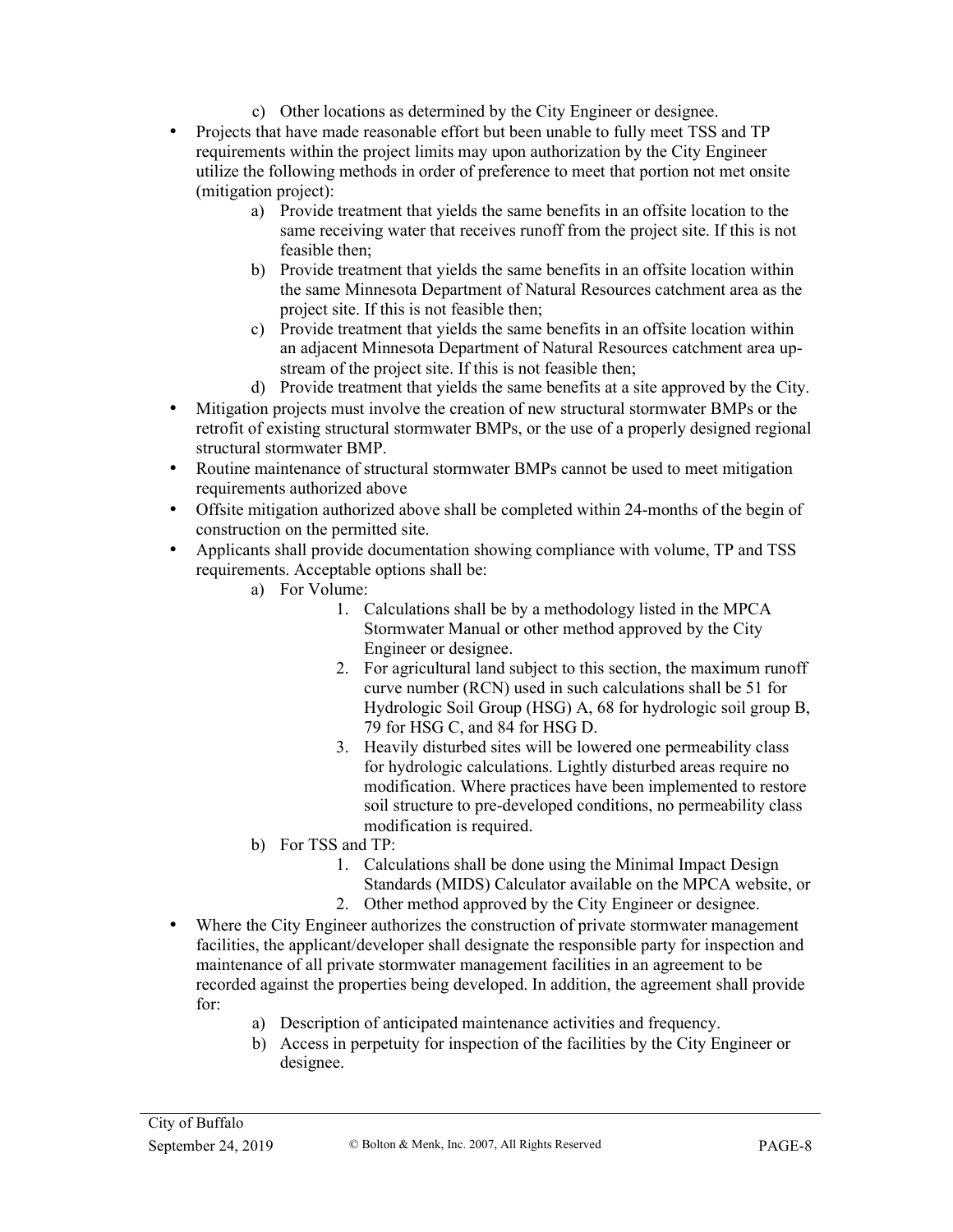- c) Other locations as determined by the City Engineer or designee.
- Projects that have made reasonable effort but been unable to fully meet TSS and TP requirements within the project limits may upon authorization by the City Engineer utilize the following methods in order of preference to meet that portion not met onsite (mitigation project):
	- a) Provide treatment that yields the same benefits in an offsite location to the same receiving water that receives runoff from the project site. If this is not feasible then;
	- b) Provide treatment that yields the same benefits in an offsite location within the same Minnesota Department of Natural Resources catchment area as the project site. If this is not feasible then;
	- c) Provide treatment that yields the same benefits in an offsite location within an adjacent Minnesota Department of Natural Resources catchment area upstream of the project site. If this is not feasible then;
	- d) Provide treatment that yields the same benefits at a site approved by the City.
- Mitigation projects must involve the creation of new structural stormwater BMPs or the retrofit of existing structural stormwater BMPs, or the use of a properly designed regional structural stormwater BMP.
- Routine maintenance of structural stormwater BMPs cannot be used to meet mitigation requirements authorized above
- Offsite mitigation authorized above shall be completed within 24-months of the begin of construction on the permitted site.
- Applicants shall provide documentation showing compliance with volume, TP and TSS requirements. Acceptable options shall be:
	- a) For Volume:
		- 1. Calculations shall be by a methodology listed in the MPCA Stormwater Manual or other method approved by the City Engineer or designee.
		- 2. For agricultural land subject to this section, the maximum runoff curve number (RCN) used in such calculations shall be 51 for Hydrologic Soil Group (HSG) A, 68 for hydrologic soil group B, 79 for HSG C, and 84 for HSG D.
		- 3. Heavily disturbed sites will be lowered one permeability class for hydrologic calculations. Lightly disturbed areas require no modification. Where practices have been implemented to restore soil structure to pre-developed conditions, no permeability class modification is required.
	- b) For TSS and TP:
		- 1. Calculations shall be done using the Minimal Impact Design Standards (MIDS) Calculator available on the MPCA website, or
		- 2. Other method approved by the City Engineer or designee.
- Where the City Engineer authorizes the construction of private stormwater management facilities, the applicant/developer shall designate the responsible party for inspection and maintenance of all private stormwater management facilities in an agreement to be recorded against the properties being developed. In addition, the agreement shall provide for:
	- a) Description of anticipated maintenance activities and frequency.
	- b) Access in perpetuity for inspection of the facilities by the City Engineer or designee.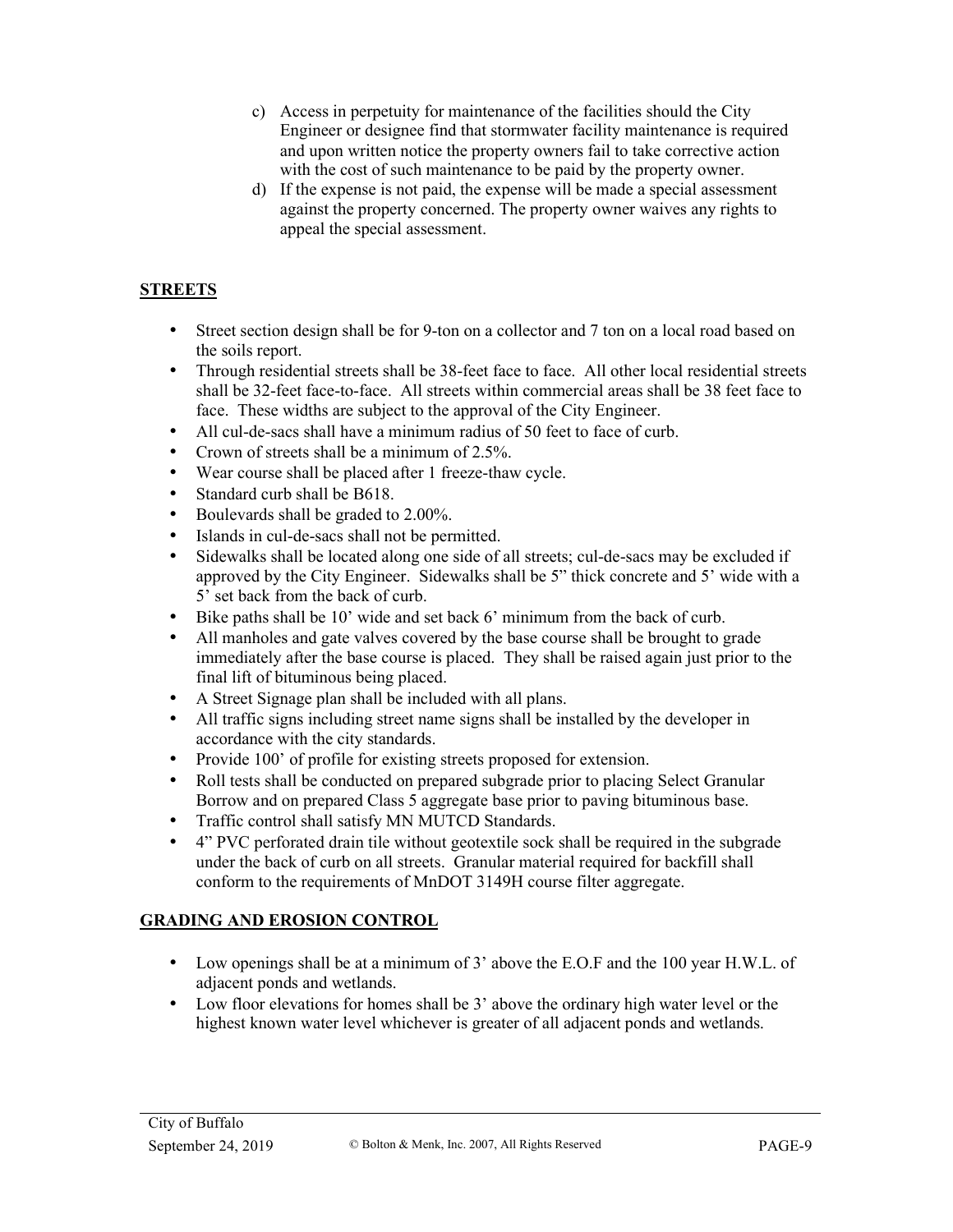- c) Access in perpetuity for maintenance of the facilities should the City Engineer or designee find that stormwater facility maintenance is required and upon written notice the property owners fail to take corrective action with the cost of such maintenance to be paid by the property owner.
- d) If the expense is not paid, the expense will be made a special assessment against the property concerned. The property owner waives any rights to appeal the special assessment.

### **STREETS**

- Street section design shall be for 9-ton on a collector and 7 ton on a local road based on the soils report.
- Through residential streets shall be 38-feet face to face. All other local residential streets shall be 32-feet face-to-face. All streets within commercial areas shall be 38 feet face to face. These widths are subject to the approval of the City Engineer.
- All cul-de-sacs shall have a minimum radius of 50 feet to face of curb.
- Crown of streets shall be a minimum of 2.5%.
- Wear course shall be placed after 1 freeze-thaw cycle.
- Standard curb shall be B618.
- Boulevards shall be graded to 2.00%.
- Islands in cul-de-sacs shall not be permitted.
- Sidewalks shall be located along one side of all streets; cul-de-sacs may be excluded if approved by the City Engineer. Sidewalks shall be 5" thick concrete and 5' wide with a 5' set back from the back of curb.
- Bike paths shall be 10' wide and set back 6' minimum from the back of curb.
- All manholes and gate valves covered by the base course shall be brought to grade immediately after the base course is placed. They shall be raised again just prior to the final lift of bituminous being placed.
- A Street Signage plan shall be included with all plans.
- All traffic signs including street name signs shall be installed by the developer in accordance with the city standards.
- Provide 100' of profile for existing streets proposed for extension.
- Roll tests shall be conducted on prepared subgrade prior to placing Select Granular Borrow and on prepared Class 5 aggregate base prior to paving bituminous base.
- Traffic control shall satisfy MN MUTCD Standards.
- 4" PVC perforated drain tile without geotextile sock shall be required in the subgrade under the back of curb on all streets. Granular material required for backfill shall conform to the requirements of MnDOT 3149H course filter aggregate.

#### **GRADING AND EROSION CONTROL**

- Low openings shall be at a minimum of 3' above the E.O.F and the 100 year H.W.L. of adjacent ponds and wetlands.
- Low floor elevations for homes shall be 3' above the ordinary high water level or the highest known water level whichever is greater of all adjacent ponds and wetlands.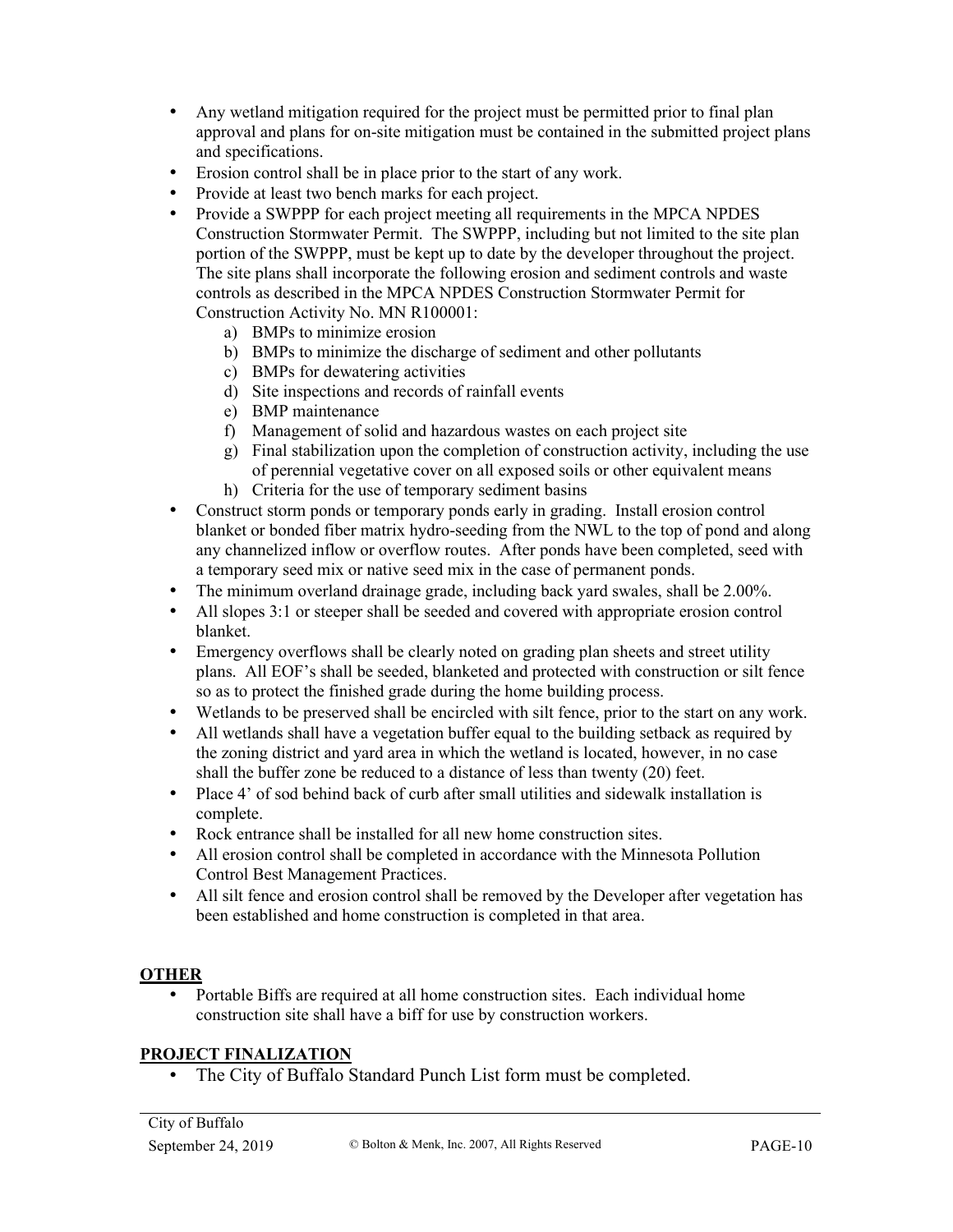- Any wetland mitigation required for the project must be permitted prior to final plan approval and plans for on-site mitigation must be contained in the submitted project plans and specifications.
- Erosion control shall be in place prior to the start of any work.
- Provide at least two bench marks for each project.
- Provide a SWPPP for each project meeting all requirements in the MPCA NPDES Construction Stormwater Permit. The SWPPP, including but not limited to the site plan portion of the SWPPP, must be kept up to date by the developer throughout the project. The site plans shall incorporate the following erosion and sediment controls and waste controls as described in the MPCA NPDES Construction Stormwater Permit for Construction Activity No. MN R100001:
	- a) BMPs to minimize erosion
	- b) BMPs to minimize the discharge of sediment and other pollutants
	- c) BMPs for dewatering activities
	- d) Site inspections and records of rainfall events
	- e) BMP maintenance
	- f) Management of solid and hazardous wastes on each project site
	- g) Final stabilization upon the completion of construction activity, including the use of perennial vegetative cover on all exposed soils or other equivalent means
	- h) Criteria for the use of temporary sediment basins
- Construct storm ponds or temporary ponds early in grading. Install erosion control blanket or bonded fiber matrix hydro-seeding from the NWL to the top of pond and along any channelized inflow or overflow routes. After ponds have been completed, seed with a temporary seed mix or native seed mix in the case of permanent ponds.
- The minimum overland drainage grade, including back yard swales, shall be 2.00%.
- All slopes 3:1 or steeper shall be seeded and covered with appropriate erosion control blanket.
- Emergency overflows shall be clearly noted on grading plan sheets and street utility plans. All EOF's shall be seeded, blanketed and protected with construction or silt fence so as to protect the finished grade during the home building process.
- Wetlands to be preserved shall be encircled with silt fence, prior to the start on any work.
- All wetlands shall have a vegetation buffer equal to the building setback as required by the zoning district and yard area in which the wetland is located, however, in no case shall the buffer zone be reduced to a distance of less than twenty (20) feet.
- Place 4' of sod behind back of curb after small utilities and sidewalk installation is complete.
- Rock entrance shall be installed for all new home construction sites.
- All erosion control shall be completed in accordance with the Minnesota Pollution Control Best Management Practices.
- All silt fence and erosion control shall be removed by the Developer after vegetation has been established and home construction is completed in that area.

### **OTHER**

• Portable Biffs are required at all home construction sites. Each individual home construction site shall have a biff for use by construction workers.

#### **PROJECT FINALIZATION**

• The City of Buffalo Standard Punch List form must be completed.